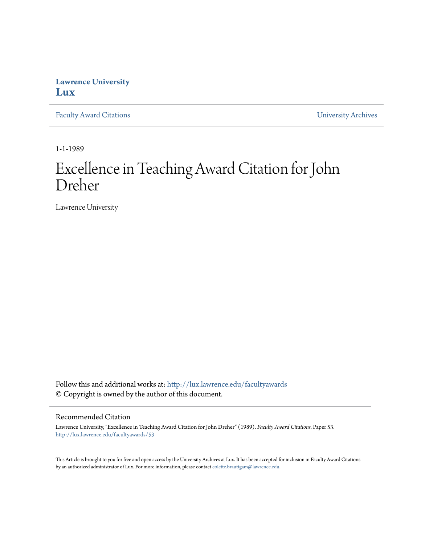## **Lawrence University [Lux](http://lux.lawrence.edu?utm_source=lux.lawrence.edu%2Ffacultyawards%2F53&utm_medium=PDF&utm_campaign=PDFCoverPages)**

[Faculty Award Citations](http://lux.lawrence.edu/facultyawards?utm_source=lux.lawrence.edu%2Ffacultyawards%2F53&utm_medium=PDF&utm_campaign=PDFCoverPages) **Example 2018** [University Archives](http://lux.lawrence.edu/archives?utm_source=lux.lawrence.edu%2Ffacultyawards%2F53&utm_medium=PDF&utm_campaign=PDFCoverPages)

1-1-1989

# Excellence in Teaching Award Citation for John Dreher

Lawrence University

Follow this and additional works at: [http://lux.lawrence.edu/facultyawards](http://lux.lawrence.edu/facultyawards?utm_source=lux.lawrence.edu%2Ffacultyawards%2F53&utm_medium=PDF&utm_campaign=PDFCoverPages) © Copyright is owned by the author of this document.

#### Recommended Citation

Lawrence University, "Excellence in Teaching Award Citation for John Dreher" (1989). *Faculty Award Citations.* Paper 53. [http://lux.lawrence.edu/facultyawards/53](http://lux.lawrence.edu/facultyawards/53?utm_source=lux.lawrence.edu%2Ffacultyawards%2F53&utm_medium=PDF&utm_campaign=PDFCoverPages)

This Article is brought to you for free and open access by the University Archives at Lux. It has been accepted for inclusion in Faculty Award Citations by an authorized administrator of Lux. For more information, please contact [colette.brautigam@lawrence.edu](mailto:colette.brautigam@lawrence.edu).